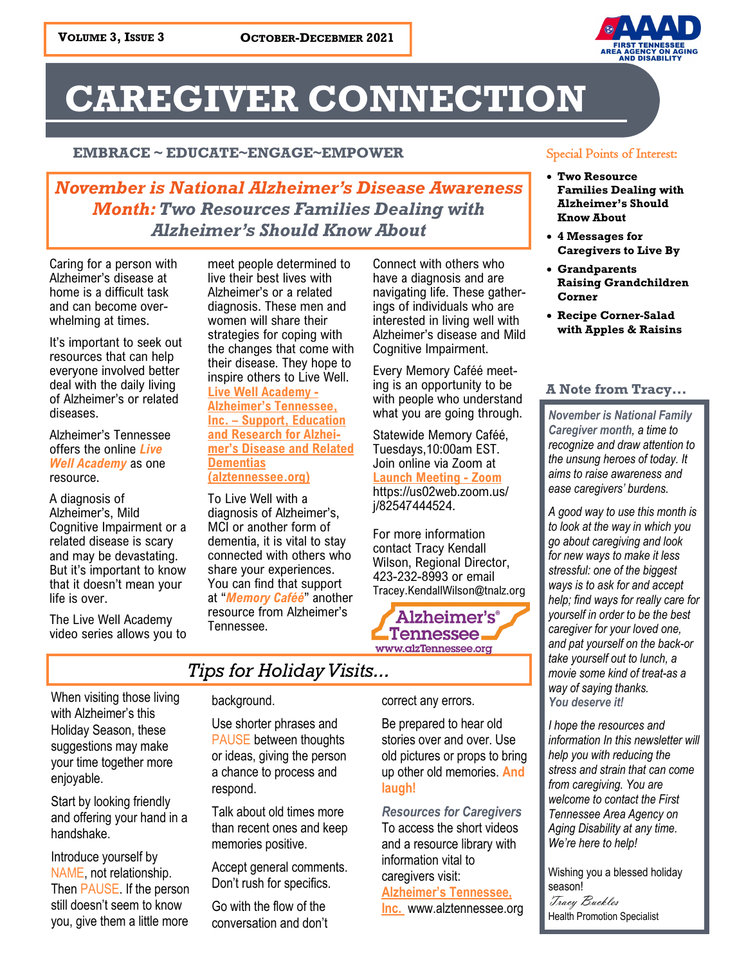

# **CAREGIVER CONNECTION**

#### **EMBRACE ~ EDUCATE~ENGAGE~EMPOWER**

### *November is National Alzheimer's Disease Awareness Month: Two Resources Families Dealing with Alzheimer's Should Know About*

Caring for a person with Alzheimer's disease at home is a difficult task and can become overwhelming at times.

It's important to seek out resources that can help everyone involved better deal with the daily living of Alzheimer's or related diseases.

Alzheimer's Tennessee offers the online *Live Well Academy* as one resource.

A diagnosis of Alzheimer's, Mild Cognitive Impairment or a related disease is scary and may be devastating. But it's important to know that it doesn't mean your life is over.

The Live Well Academy video series allows you to

meet people determined to live their best lives with Alzheimer's or a related diagnosis. These men and women will share their strategies for coping with the changes that come with their disease. They hope to inspire others to Live Well.

**[Live Well Academy](https://www.alztennessee.org/help/living-with-alzheimers/live-well-academy) - Alzheimer'[s Tennessee,](https://www.alztennessee.org/help/living-with-alzheimers/live-well-academy)  Inc. – [Support, Education](https://www.alztennessee.org/help/living-with-alzheimers/live-well-academy)  [and Research for Alzhei](https://www.alztennessee.org/help/living-with-alzheimers/live-well-academy)mer'[s Disease and Related](https://www.alztennessee.org/help/living-with-alzheimers/live-well-academy)  [Dementias](https://www.alztennessee.org/help/living-with-alzheimers/live-well-academy)  [\(alztennessee.org\)](https://www.alztennessee.org/help/living-with-alzheimers/live-well-academy)**

To Live Well with a diagnosis of Alzheimer's, MCI or another form of dementia, it is vital to stay connected with others who share your experiences. You can find that support at "*Memory Caféé*" another resource from Alzheimer's Tennessee.

Connect with others who have a diagnosis and are navigating life. These gatherings of individuals who are interested in living well with Alzheimer's disease and Mild Cognitive Impairment.

Every Memory Caféé meeting is an opportunity to be with people who understand what you are going through.

Statewide Memory Caféé, Tuesdays,10:00am EST. Join online via Zoom at **[Launch Meeting](https://us02web.zoom.us/j/82547444524#success) - Zoom** https://us02web.zoom.us/ j/82547444524.

For more information contact Tracy Kendall Wilson, Regional Director, 423-232-8993 or email Tracey.KendallWilson@tnalz.org



### *Tips for Holiday Visits...*

When visiting those living with Alzheimer's this Holiday Season, these suggestions may make your time together more enjoyable.

Start by looking friendly and offering your hand in a handshake.

Introduce yourself by NAME, not relationship. Then PAUSE. If the person still doesn't seem to know you, give them a little more

#### background.

Use shorter phrases and PAUSE between thoughts or ideas, giving the person a chance to process and respond.

Talk about old times more than recent ones and keep memories positive.

Accept general comments. Don't rush for specifics.

Go with the flow of the conversation and don't correct any errors.

Be prepared to hear old stories over and over. Use old pictures or props to bring up other old memories. **And laugh!** 

*Resources for Caregivers* To access the short videos and a resource library with information vital to caregivers visit: **[Alzheimer's Tennessee,](https://www.alztennessee.org/)** 

**[Inc.](https://www.alztennessee.org/)** www.alztennessee.org

#### Special Points of Interest:

- **Two Resource Families Dealing with Alzheimer's Should Know About**
- **4 Messages for Caregivers to Live By**
- **Grandparents Raising Grandchildren Corner**
- **Recipe Corner-Salad with Apples & Raisins**

#### **A Note from Tracy...**

*November is National Family Caregiver month, a time to recognize and draw attention to the unsung heroes of today. It aims to raise awareness and ease caregivers' burdens.* 

*A good way to use this month is to look at the way in which you go about caregiving and look for new ways to make it less stressful: one of the biggest ways is to ask for and accept help; find ways for really care for yourself in order to be the best caregiver for your loved one, and pat yourself on the back-or take yourself out to lunch, a movie some kind of treat-as a way of saying thanks. You deserve it!*

*I hope the resources and information In this newsletter will help you with reducing the stress and strain that can come from caregiving. You are welcome to contact the First Tennessee Area Agency on Aging Disability at any time. We're here to help!*

Wishing you a blessed holiday season! Tracy Buckles Health Promotion Specialist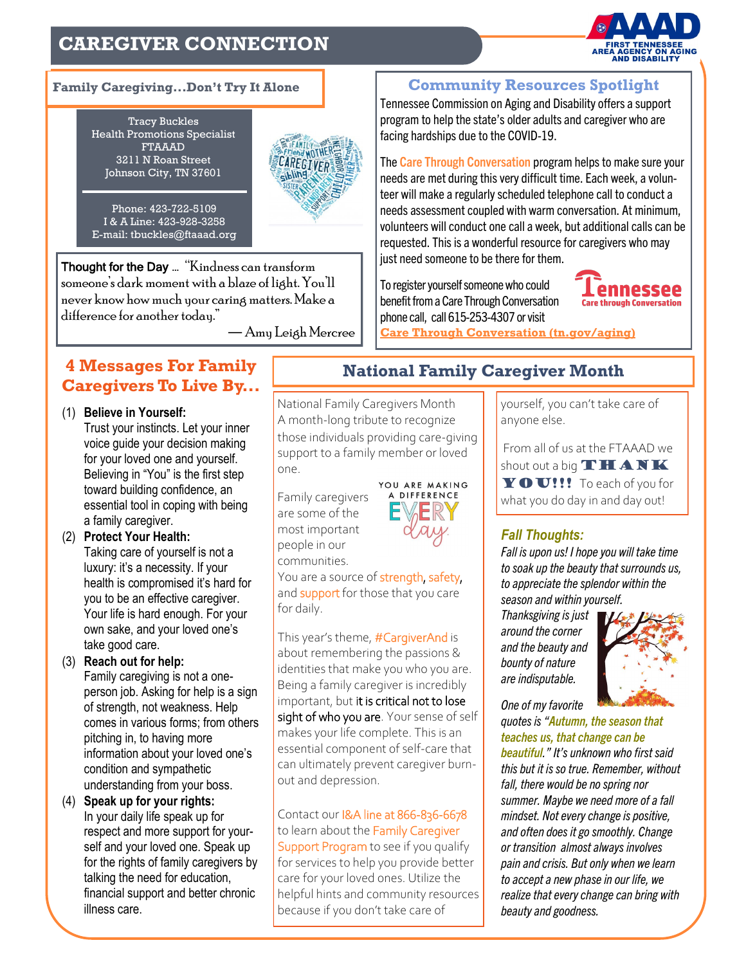### **CAREGIVER CONNECTION**



Tracy Buckles Health Promotions Specialist FTAAAD 3211 N Roan Street Johnson City, TN 37601



Phone: 423-722-5109 I & A Line: 423-928-3258 E-mail: tbuckles@ftaaad.org

Thought for the Day … "Kindness can transform someone's dark moment with a blaze of light. You'll never know how much your caring matters. Make a difference for another today."

― Amy Leigh Mercree

### **4 Messages For Family Caregivers To Live By...**

(1) **Believe in Yourself:** 

Trust your instincts. Let your inner voice guide your decision making for your loved one and yourself. Believing in "You" is the first step toward building confidence, an essential tool in coping with being a family caregiver.

- (2) **Protect Your Health:**  Taking care of yourself is not a luxury: it's a necessity. If your health is compromised it's hard for you to be an effective caregiver. Your life is hard enough. For your own sake, and your loved one's take good care.
- (3) **Reach out for help:**  Family caregiving is not a oneperson job. Asking for help is a sign of strength, not weakness. Help comes in various forms; from others pitching in, to having more information about your loved one's condition and sympathetic understanding from your boss.
- (4) **Speak up for your rights:**  In your daily life speak up for respect and more support for yourself and your loved one. Speak up for the rights of family caregivers by talking the need for education, financial support and better chronic illness care.

### **National Family Caregiver Month**

National Family Caregivers Month A month-long tribute to recognize those individuals providing care-giving support to a family member or loved one.

Family caregivers are some of the most important people in our communities.



You are a source of strength, safety, and **support** for those that you care for daily.

This year's theme, #CargiverAnd is about remembering the passions & identities that make you who you are. Being a family caregiver is incredibly important, but it is critical not to lose sight of who you are. Your sense of self makes your life complete. This is an essential component of self-care that can ultimately prevent caregiver burnout and depression.

Contact our I&A line at 866-836-6678 to learn about the Family Caregiver Support Program to see if you qualify for services to help you provide better care for your loved ones. Utilize the helpful hints and community resources because if you don't take care of

**Family Caregiving...Don't Try It Alone Community Resources Spotlight**

Tennessee Commission on Aging and Disability offers a support program to help the state's older adults and caregiver who are facing hardships due to the COVID-19.

The **Care Through Conversation** program helps to make sure your needs are met during this very difficult time. Each week, a volunteer will make a regularly scheduled telephone call to conduct a needs assessment coupled with warm conversation. At minimum, volunteers will conduct one call a week, but additional calls can be requested. This is a wonderful resource for caregivers who may just need someone to be there for them.

To register yourself someone who could benefit from a Care Through Conversation phone call, call 615-253-4307 or visit



**[Care Through Conversation \(tn.gov/aging\)](https://www.tn.gov/aging/our-programs/care-through-conversation.html)**

yourself, you can't take care of anyone else.

From all of us at the FTAAAD we shout out a big  $THANK$  $\mathbf Y \mathbf O \mathbf U$ !!! To each of you for what you do day in and day out!

#### *Fall Thoughts:*

*Fall is upon us! I hope you will take time to soak up the beauty that surrounds us, to appreciate the splendor within the season and within yourself.* 

*Thanksgiving is just around the corner and the beauty and bounty of nature are indisputable.* 



*One of my favorite* 

*quotes is "Autumn, the season that teaches us, that change can be beautiful." It's unknown who first said this but it is so true. Remember, without fall, there would be no spring nor summer. Maybe we need more of a fall mindset. Not every change is positive, and often does it go smoothly. Change or transition almost always involves pain and crisis. But only when we learn to accept a new phase in our life, we realize that every change can bring with beauty and goodness.*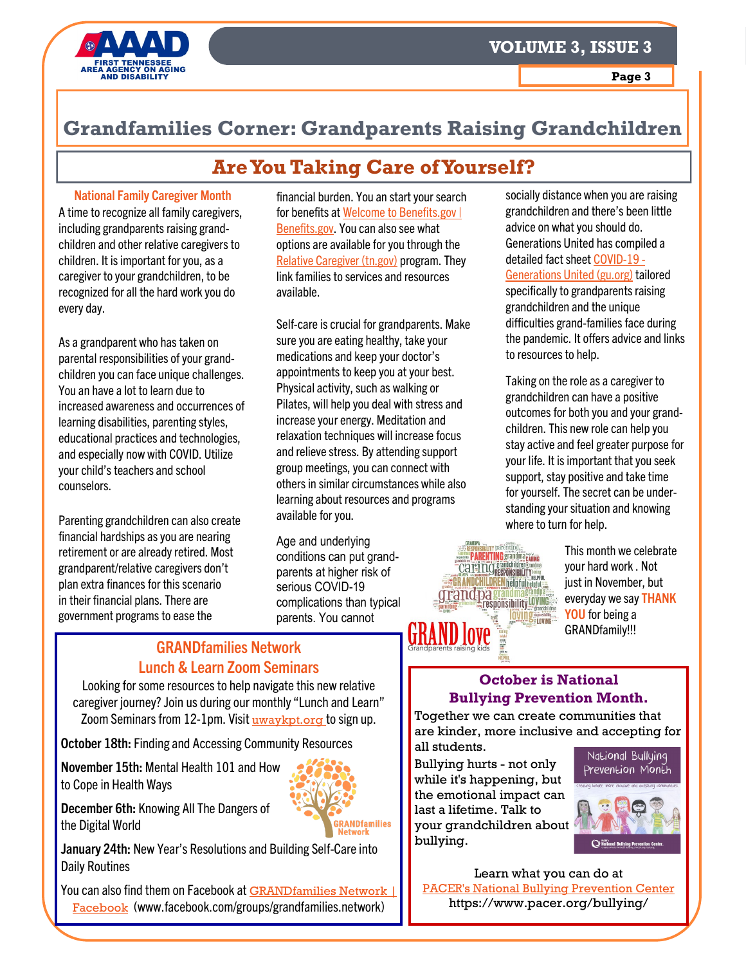



### **Grandfamilies Corner: Grandparents Raising Grandchildren**

### **Are You Taking Care of Yourself?**

#### **National Family Caregiver Month**

A time to recognize all family caregivers, including grandparents raising grandchildren and other relative caregivers to children. It is important for you, as a caregiver to your grandchildren, to be recognized for all the hard work you do every day.

As a grandparent who has taken on parental responsibilities of your grandchildren you can face unique challenges. You an have a lot to learn due to increased awareness and occurrences of learning disabilities, parenting styles, educational practices and technologies, and especially now with COVID. Utilize your child's teachers and school counselors.

Parenting grandchildren can also create financial hardships as you are nearing retirement or are already retired. Most grandparent/relative caregivers don't plan extra finances for this scenario in their financial plans. There are government programs to ease the

financial burden. You an start your search for benefits at [Welcome to Benefits.gov |](https://www.benefits.gov/)  [Benefits.gov.](https://www.benefits.gov/) You can also see what options are available for you through the [Relative Caregiver \(tn.gov\)](https://www.tn.gov/dcs/program-areas/foster-care-and-adoption/relative-caregiver.html) program. They link families to services and resources available.

Self-care is crucial for grandparents. Make sure you are eating healthy, take your medications and keep your doctor's appointments to keep you at your best. Physical activity, such as walking or Pilates, will help you deal with stress and increase your energy. Meditation and relaxation techniques will increase focus and relieve stress. By attending support group meetings, you can connect with others in similar circumstances while also learning about resources and programs available for you.

Age and underlying conditions can put grandparents at higher risk of serious COVID-19 complications than typical parents. You cannot

socially distance when you are raising grandchildren and there's been little advice on what you should do. Generations United has compiled a detailed fact sheet [COVID](https://www.gu.org/covid-19/)-19 - [Generations United \(gu.org\)](https://www.gu.org/covid-19/) tailored specifically to grandparents raising grandchildren and the unique difficulties grand-families face during the pandemic. It offers advice and links to resources to help.

Taking on the role as a caregiver to grandchildren can have a positive outcomes for both you and your grandchildren. This new role can help you stay active and feel greater purpose for your life. It is important that you seek support, stay positive and take time for yourself. The secret can be understanding your situation and knowing where to turn for help.



This month we celebrate your hard work . Not just in November, but everyday we say **THANK YOU** for being a GRANDfamily!!!

### **GRANDfamilies Network Lunch & Learn Zoom Seminars**

Looking for some resources to help navigate this new relative caregiver journey? Join us during our monthly "Lunch and Learn" Zoom Seminars from 12-1pm. Visit [uwaykpt.org](https://www.uwaykpt.org/seniors) to sign up.

**October 18th:** Finding and Accessing Community Resources

**November 15th:** Mental Health 101 and How to Cope in Health Ways



**December 6th:** Knowing All The Dangers of the Digital World

**January 24th:** New Year's Resolutions and Building Self-Care into Daily Routines

You can also find them on Facebook at **GRANDfamilies Network** [Facebook](https://www.facebook.com/groups/grandfamilies.network) (www.facebook.com/groups/grandfamilies.network)

#### **October is National Bullying Prevention Month.**

Together we can create communities that are kinder, more inclusive and accepting for all students.

Bullying hurts - not only while it's happening, but the emotional impact can last a lifetime. Talk to your grandchildren about bullying.



Learn what you can do at [PACER's National Bullying Prevention Center](https://www.pacer.org/bullying/) https://www.pacer.org/bullying/